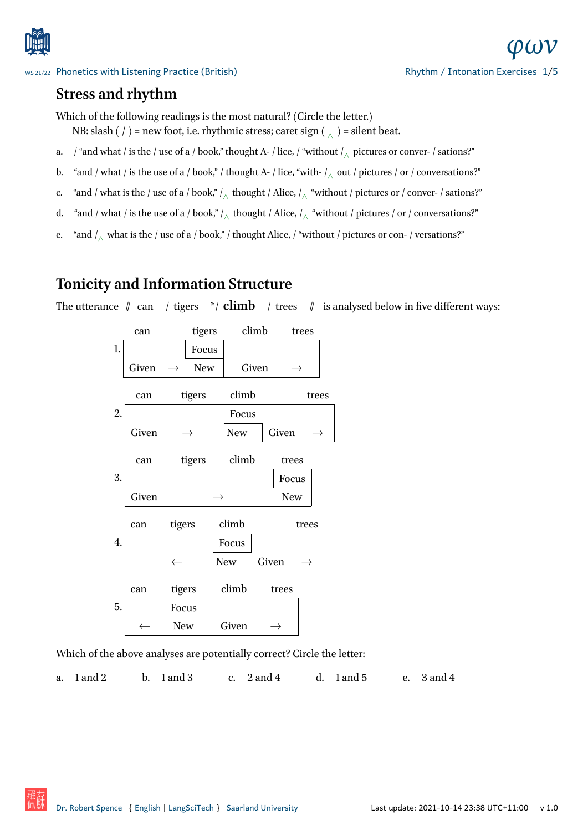

## **Stress and rhythm**

[Which of the following readings is the m](http://www.spence.saar.de/courses/phoneticswithlistening/)ost natural? (Circle the letter.)

- NB: slash ( / ) = new foot, i.e. rhythmic stress; caret sign ( <sub>∧</sub>) = silent beat.
- a.  $\;$  / "and what / is the / use of a / book," thought A- / lice, / "without / $\wedge$  pictures or conver- / sations?"
- b. "and / what / is the use of a / book," / thought A- / lice, "with- /<sub>∧</sub> out / pictures / or / conversations?"
- c. "and / what is the / use of a / book," /<sub>∧</sub> thought / Alice, /<sub>∧</sub> "without / pictures or / conver- / sations?"
- d. "and / what / is the use of a / book," /*<sup>∧</sup>* thought / Alice, /*<sup>∧</sup>* "without / pictures / or / conversations?"
- e. "and /*<sup>∧</sup>* what is the / use of a / book," / thought Alice, / "without / pictures or con- / versations?"

## **Tonicity and Information Structure**

The utterance  $\parallel$  can / tigers  $\parallel$  / climb / trees  $\parallel$  is analysed below in five different ways:

|    | can          |                 | tigers | climb      |            |            | trees |  |
|----|--------------|-----------------|--------|------------|------------|------------|-------|--|
| 1. |              | Focus           |        |            |            |            |       |  |
|    | Given        | <b>New</b><br>→ |        | Given      |            | →          |       |  |
|    | can          | tigers          |        | climb      |            | trees      |       |  |
| 2. |              |                 |        | Focus      |            |            |       |  |
|    | Given        | →               |        | <b>New</b> |            | Given<br>→ |       |  |
|    | can          |                 | tigers |            | climb      | trees      |       |  |
| 3. |              |                 |        |            |            | Focus      |       |  |
|    | Given        |                 | →      |            | <b>New</b> |            |       |  |
|    | can          | tigers          |        | climb      |            | trees      |       |  |
| 4. |              |                 |        | Focus      |            |            |       |  |
|    |              | $\leftarrow$    |        | <b>New</b> |            | Given      |       |  |
|    | can          | tigers          |        | climb      |            | trees      |       |  |
| 5. |              | Focus           |        |            |            |            |       |  |
|    | $\leftarrow$ | New             |        | Given      |            |            |       |  |

Which of the above analyses are potentially correct? Circle the letter:

a. 1 and 2 b. 1 and 3 c. 2 and 4 d. 1 and 5 e. 3 and 4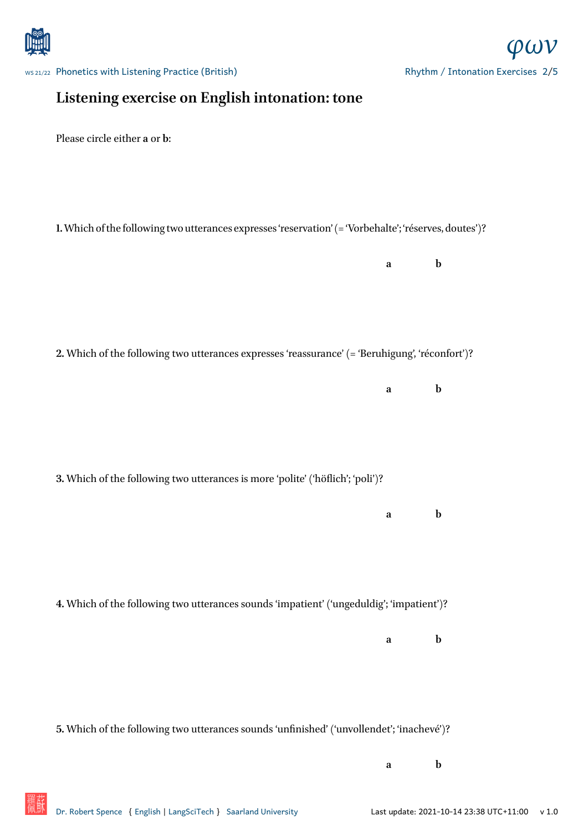

WS 21/22 Phonetics with Listening Practice (British)

## **Listening exercise on English intonation: tone**

Please circle either **a** or **b**:

**1.**Which of the following two utterances expresses 'reservation' (= 'Vorbehalte'; 'réserves, doutes')?

**a b**

**2.** Which of the following two utterances expresses 'reassurance' (= 'Beruhigung', 'réconfort')?

**a b**

**3.** Which of the following two utterances is more 'polite' ('höflich'; 'poli')?

**a b**

**4.** Which of the following two utterances sounds 'impatient' ('ungeduldig'; 'impatient')?

**a b**

**5.** Which of the following two utterances sounds 'unfinished' ('unvollendet'; 'inachevé')?

**a b**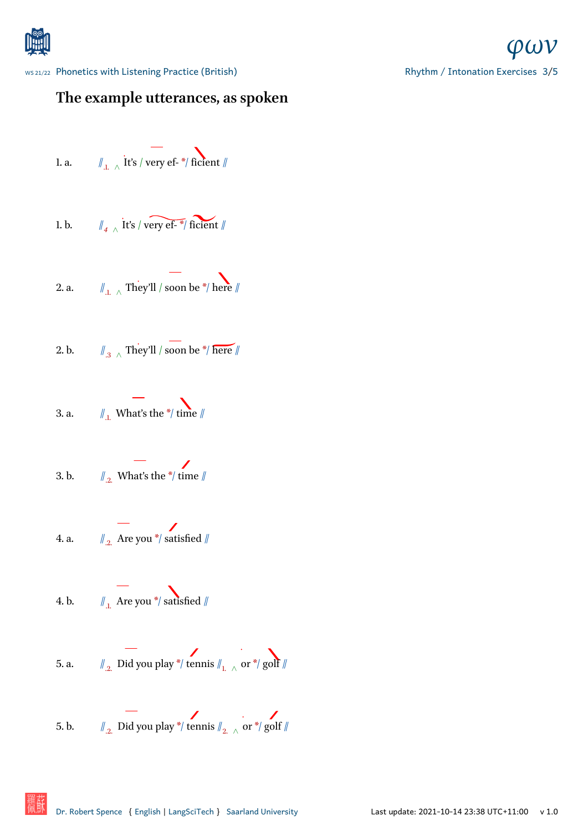

# **The example utterances, as spoken**

1. a. 
$$
\mathbb{I}_{.1} \wedge \text{it's } / \text{ very ef. } \ast / \text{ficient } / \mathbb{I}
$$

1. b. 
$$
\|\cdot\|_4 \wedge \text{it's } / \text{very ef.}
$$

2. a. 
$$
\|\cdot\|_{1. \wedge}
$$
 They'll / soon be \*/ here

2. b. 
$$
\mathbb{I}_{.3} \wedge \text{They'll } / \text{ soon be } \frac{1}{7} \text{ here } \mathbb{I}
$$

3. a. 
$$
\| \cdot \|_{1}
$$
. What's the  $\ast / \text{ time } \|$ 

3. b. 
$$
\iint_{2}^{1}
$$
 What's the \*/ time  $\|$ 

4. a. 
$$
\qquad \qquad \mathbb{Z}
$$
 Are you \*/ satisfied  $\|$ 

4. b. 
$$
\qquad \qquad \frac{1}{\#_1 \text{ Area you *}} \text{ satisfied } \#
$$

5. a. 
$$
\mathbb{I}_{2}
$$
 Did you play \*/ tennis  $\mathbb{I}_{1, \wedge}$  or \*/ golf

5. b. //.2. Did you play \*/ tennis //2. *<sup>∧</sup>* or \*/ golf //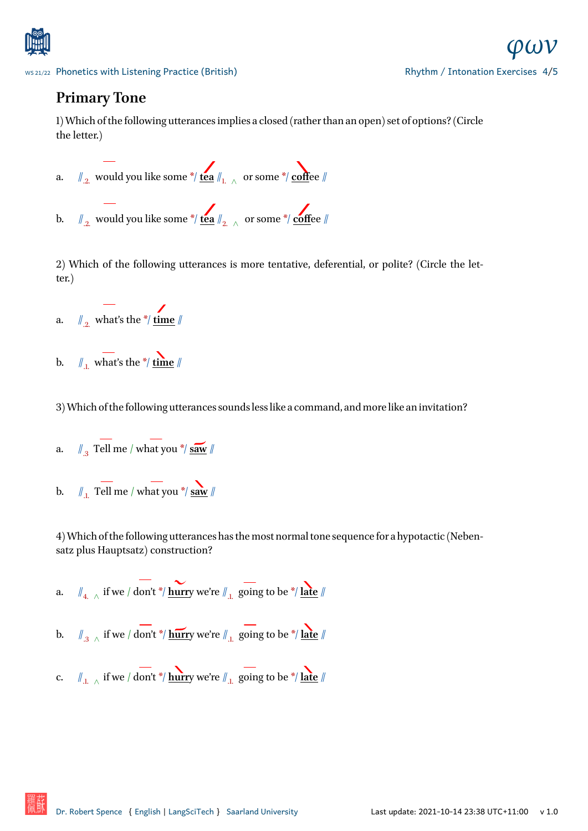

### **Primary Tone**

[1\) Which of the following utterances impl](http://www.spence.saar.de/courses/phoneticswithlistening/)ies a closed (rather than an open) set of options? (Circle the letter.)



2) Which of the following utterances is more tentative, deferential, or polite? (Circle the letter.)

a.  $\mathbb{Z}_2$  what's the \*/ <u>time</u>  $\mathbb{Z}$ 

b.  $\mathbb{Z}_{1}$  what's the \*/ <u>time</u>  $\mathbb{Z}_{2}$ 

3) Which of the following utterances sounds less like a command, and more like an invitation?

- a.  $\int_{.3}$  Tell me / what you \*/ **saw**  $\int$
- b.  $\| \cdot \|_{1}$ . Tell me / what you \*/ **saw** //

4) Which of the following utterances has the most normal tone sequence for a hypotactic (Nebensatz plus Hauptsatz) construction?

- a. //4. *<sup>∧</sup>* if we / don't \*/ **hurr**y we're //.1. going to be \*/ **late** //
- b. //.3 *<sup>∧</sup>* if we / don't \*/ **hurr**y we're //.1. going to be \*/ **late** //
- c. //.1. *<sup>∧</sup>* if we / don't \*/ **hurr**y we're //.1. going to be \*/ **late** //